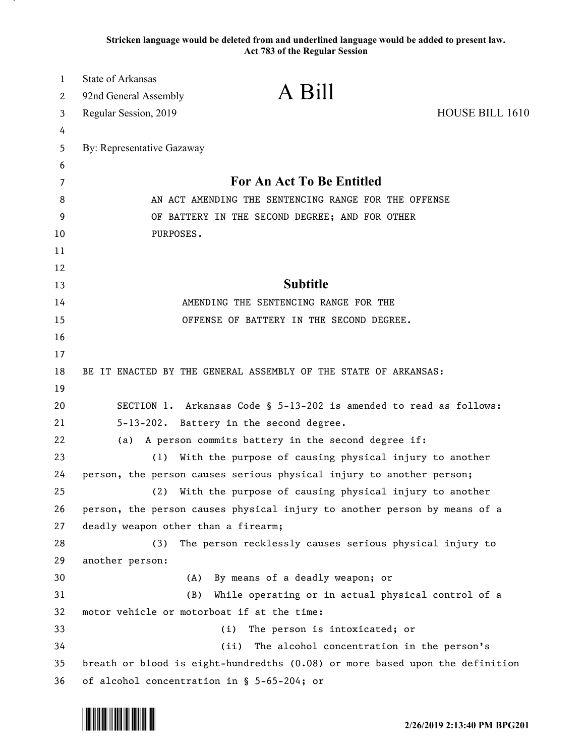**Stricken language would be deleted from and underlined language would be added to present law. Act 783 of the Regular Session**

| $\mathbf{1}$ | <b>State of Arkansas</b><br>A Bill                                                                                        |                 |
|--------------|---------------------------------------------------------------------------------------------------------------------------|-----------------|
| 2            | 92nd General Assembly                                                                                                     |                 |
| 3            | Regular Session, 2019                                                                                                     | HOUSE BILL 1610 |
| 4            |                                                                                                                           |                 |
| 5            | By: Representative Gazaway                                                                                                |                 |
| 6            | For An Act To Be Entitled                                                                                                 |                 |
| 7<br>8       | AN ACT AMENDING THE SENTENCING RANGE FOR THE OFFENSE                                                                      |                 |
| 9            | OF BATTERY IN THE SECOND DEGREE; AND FOR OTHER                                                                            |                 |
| 10           | PURPOSES.                                                                                                                 |                 |
| 11           |                                                                                                                           |                 |
| 12           |                                                                                                                           |                 |
| 13           | <b>Subtitle</b>                                                                                                           |                 |
| 14           | AMENDING THE SENTENCING RANGE FOR THE                                                                                     |                 |
| 15           | OFFENSE OF BATTERY IN THE SECOND DEGREE.                                                                                  |                 |
| 16           |                                                                                                                           |                 |
| 17           |                                                                                                                           |                 |
| 18           | BE IT ENACTED BY THE GENERAL ASSEMBLY OF THE STATE OF ARKANSAS:                                                           |                 |
| 19           |                                                                                                                           |                 |
| 20           | SECTION 1. Arkansas Code § 5-13-202 is amended to read as follows:                                                        |                 |
| 21           | 5-13-202. Battery in the second degree.                                                                                   |                 |
| 22           | A person commits battery in the second degree if:<br>(a)                                                                  |                 |
| 23           | With the purpose of causing physical injury to another<br>(1)                                                             |                 |
| 24           | person, the person causes serious physical injury to another person;                                                      |                 |
| 25           | With the purpose of causing physical injury to another<br>(2)                                                             |                 |
| 26           | person, the person causes physical injury to another person by means of a                                                 |                 |
| 27           | deadly weapon other than a firearm;                                                                                       |                 |
| 28           | (3)<br>The person recklessly causes serious physical injury to                                                            |                 |
| 29           | another person:                                                                                                           |                 |
| 30           | By means of a deadly weapon; or<br>(A)                                                                                    |                 |
| 31           | (B)<br>While operating or in actual physical control of a                                                                 |                 |
| 32           | motor vehicle or motorboat if at the time:                                                                                |                 |
| 33<br>34     | The person is intoxicated; or<br>(i)<br>(ii)                                                                              |                 |
| 35           | The alcohol concentration in the person's<br>breath or blood is eight-hundredths (0.08) or more based upon the definition |                 |
| 36           | of alcohol concentration in § 5-65-204; or                                                                                |                 |

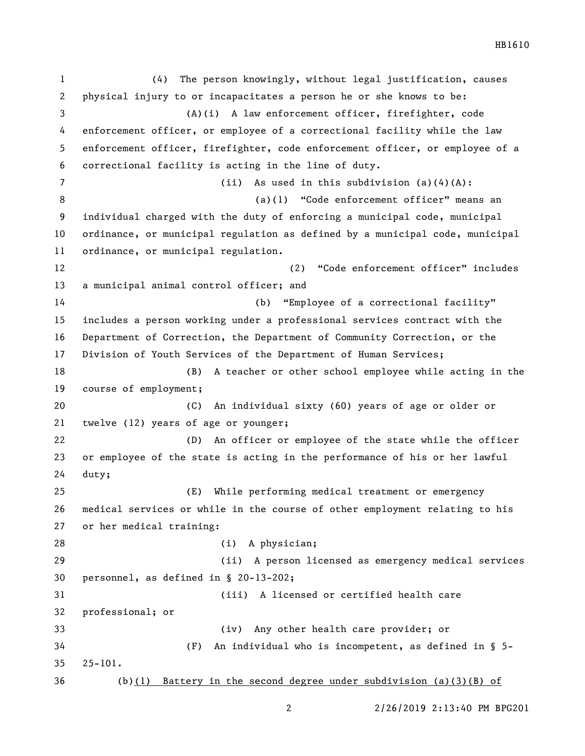(4) The person knowingly, without legal justification, causes physical injury to or incapacitates a person he or she knows to be: (A)(i) A law enforcement officer, firefighter, code enforcement officer, or employee of a correctional facility while the law enforcement officer, firefighter, code enforcement officer, or employee of a correctional facility is acting in the line of duty. (ii) As used in this subdivision (a)(4)(A): (a)(1) "Code enforcement officer" means an individual charged with the duty of enforcing a municipal code, municipal ordinance, or municipal regulation as defined by a municipal code, municipal ordinance, or municipal regulation. (2) "Code enforcement officer" includes a municipal animal control officer; and (b) "Employee of a correctional facility" includes a person working under a professional services contract with the Department of Correction, the Department of Community Correction, or the Division of Youth Services of the Department of Human Services; (B) A teacher or other school employee while acting in the course of employment; (C) An individual sixty (60) years of age or older or twelve (12) years of age or younger; (D) An officer or employee of the state while the officer or employee of the state is acting in the performance of his or her lawful duty; (E) While performing medical treatment or emergency medical services or while in the course of other employment relating to his or her medical training: 28 (i) A physician; (ii) A person licensed as emergency medical services personnel, as defined in § 20-13-202; (iii) A licensed or certified health care professional; or (iv) Any other health care provider; or (F) An individual who is incompetent, as defined in § 5- 25-101. (b)(1) Battery in the second degree under subdivision (a)(3)(B) of

2/26/2019 2:13:40 PM BPG201